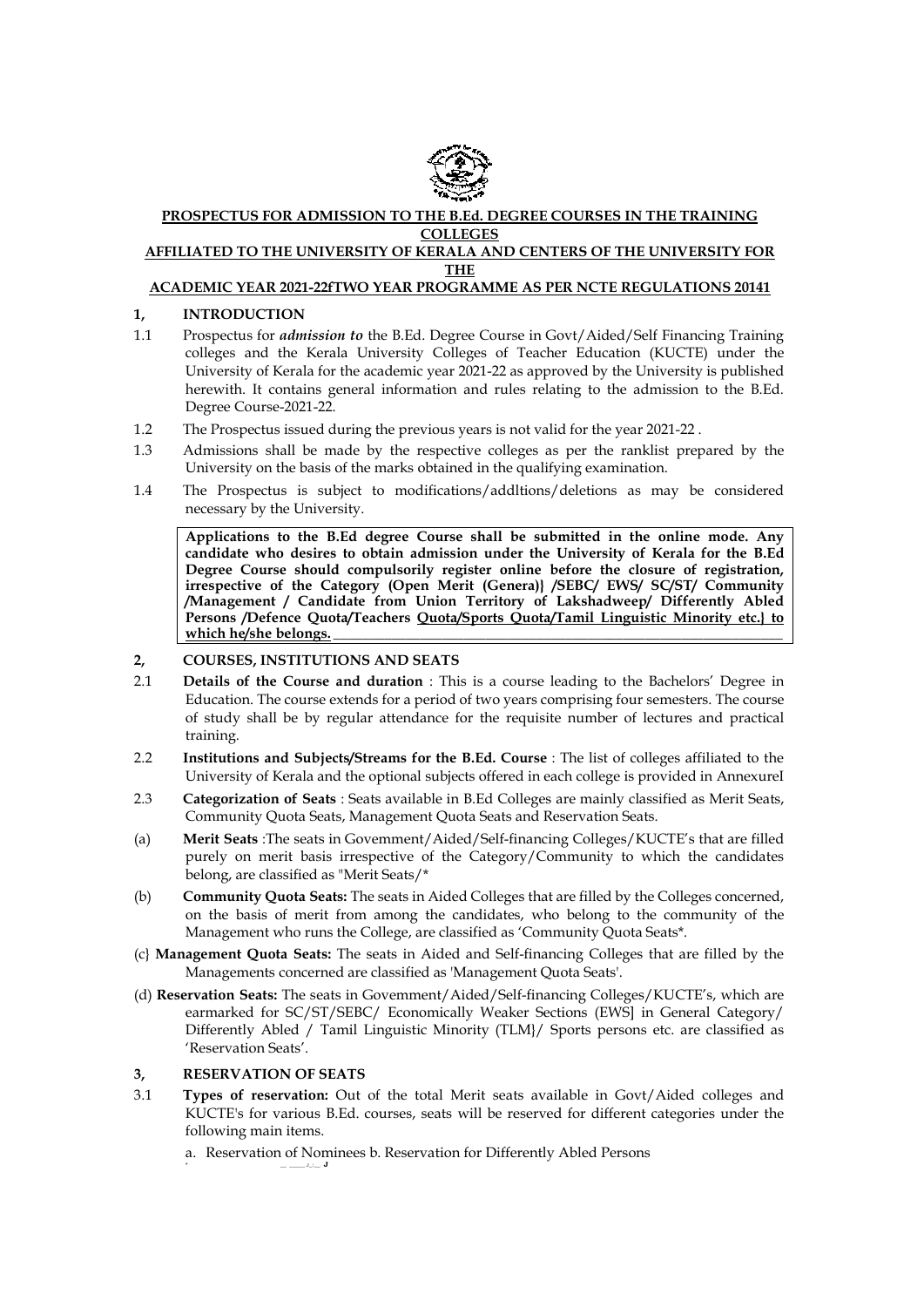

### **PROSPECTUS FOR ADMISSION TO THE B.Ed. DEGREE COURSES IN THE TRAINING COLLEGES AFFILIATED TO THE UNIVERSITY OF KERALA AND CENTERS OF THE UNIVERSITY FOR**

# **THE**

# **ACADEMIC YEAR 2021-22fTWO YEAR PROGRAMME AS PER NCTE REGULATIONS 20141**

### **1, INTRODUCTION**

- 1.1 Prospectus for *admission to* the B.Ed. Degree Course in Govt/Aided/Self Financing Training colleges and the Kerala University Colleges of Teacher Education (KUCTE) under the University of Kerala for the academic year 2021-22 as approved by the University is published herewith. It contains general information and rules relating to the admission to the B.Ed. Degree Course-2021-22.
- 1.2 The Prospectus issued during the previous years is not valid for the year 2021-22 .
- 1.3 Admissions shall be made by the respective colleges as per the ranklist prepared by the University on the basis of the marks obtained in the qualifying examination.
- 1.4 The Prospectus is subject to modifications/addltions/deletions as may be considered necessary by the University.

**Applications to the B.Ed degree Course shall be submitted in the online mode. Any candidate who desires to obtain admission under the University of Kerala for the B.Ed Degree Course should compulsorily register online before the closure of registration, irrespective of the Category (Open Merit (Genera)} /SEBC/ EWS/ SC/ST/ Community /Management / Candidate from Union Territory of Lakshadweep/ Differently Abled Persons /Defence Quota/Teachers Quota/Sports Quota/Tamil Linguistic Minority etc.} to**  which he/she belongs.

# **2, COURSES, INSTITUTIONS AND SEATS**

- 2.1 **Details of the Course and duration** : This is a course leading to the Bachelors' Degree in Education. The course extends for a period of two years comprising four semesters. The course of study shall be by regular attendance for the requisite number of lectures and practical training.
- 2.2 **Institutions and Subjects/Streams for the B.Ed. Course** : The list of colleges affiliated to the University of Kerala and the optional subjects offered in each college is provided in AnnexureI
- 2.3 **Categorization of Seats** : Seats available in B.Ed Colleges are mainly classified as Merit Seats, Community Quota Seats, Management Quota Seats and Reservation Seats.
- (a) **Merit Seats** :The seats in Govemment/Aided/Self-financing Colleges/KUCTE's that are filled purely on merit basis irrespective of the Category/Community to which the candidates belong, are classified as "Merit Seats/\*
- (b) **Community Quota Seats:** The seats in Aided Colleges that are filled by the Colleges concerned, on the basis of merit from among the candidates, who belong to the community of the Management who runs the College, are classified as 'Community Quota Seats\*.
- (c} **Management Quota Seats:** The seats in Aided and Self-financing Colleges that are filled by the Managements concerned are classified as 'Management Quota Seats'.
- (d) **Reservation Seats:** The seats in Govemment/Aided/Self-financing Colleges/KUCTE's, which are earmarked for SC/ST/SEBC/ Economically Weaker Sections (EWS] in General Category/ Differently Abled / Tamil Linguistic Minority (TLM}/ Sports persons etc. are classified as 'Reservation Seats'.

# **3, RESERVATION OF SEATS**

- 3.1 **Types of reservation:** Out of the total Merit seats available in Govt/Aided colleges and KUCTE's for various B.Ed. courses, seats will be reserved for different categories under the following main items.
	- a. Reservation of Nominees b. Reservation for Differently Abled Persons \* \_\_ \_\_\_\_\_ J\_:\_\_ **J**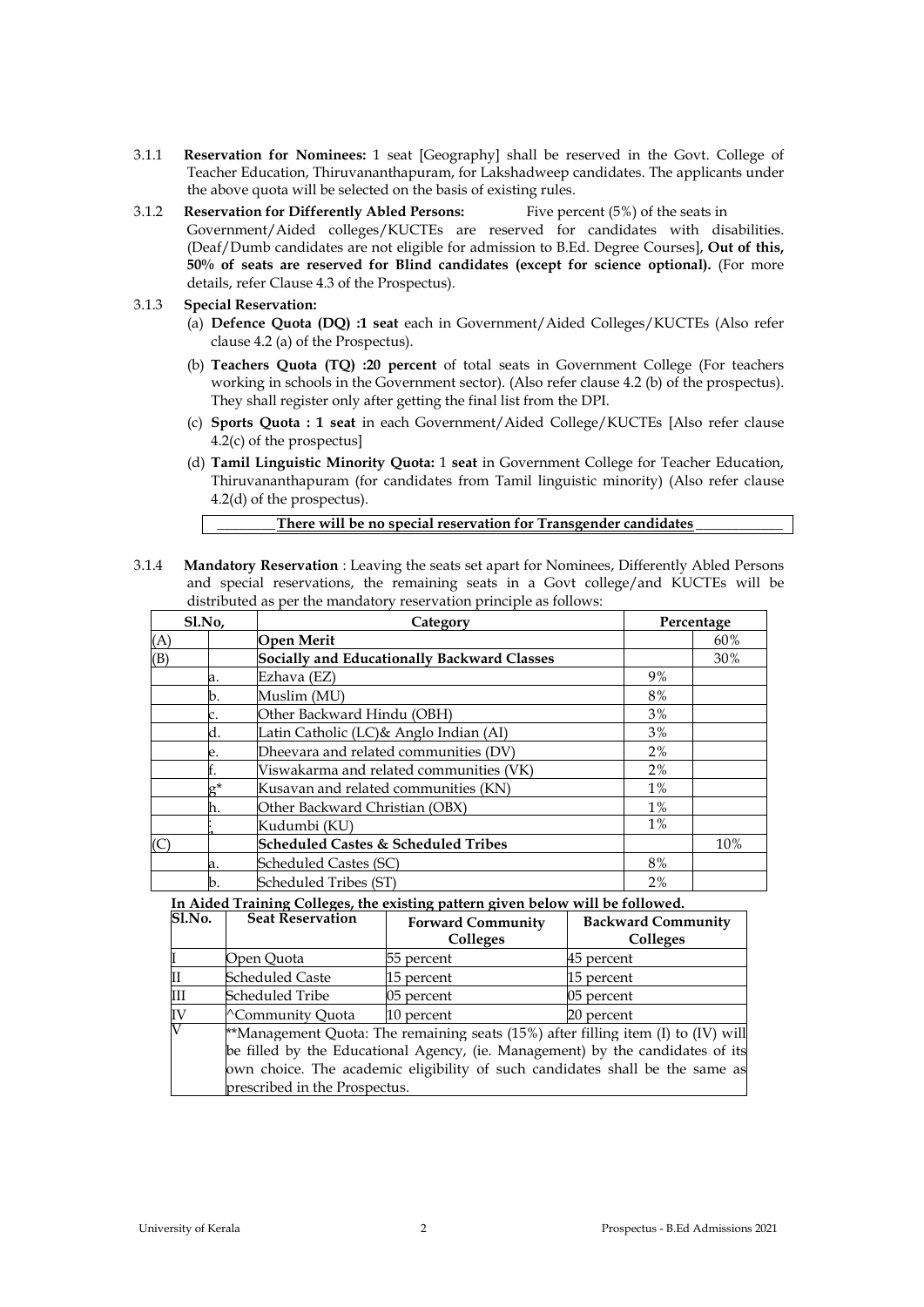- 3.1.1 **Reservation for Nominees:** 1 seat [Geography] shall be reserved in the Govt. College of Teacher Education, Thiruvananthapuram, for Lakshadweep candidates. The applicants under the above quota will be selected on the basis of existing rules.
- 3.1.2 **Reservation for Differently Abled Persons:** Five percent (5%) of the seats in Government/Aided colleges/KUCTEs are reserved for candidates with disabilities. (Deaf/Dumb candidates are not eligible for admission to B.Ed. Degree Courses], **Out of this, 50% of seats are reserved for Blind candidates (except for science optional).** (For more details, refer Clause 4.3 of the Prospectus).
- 3.1.3 **Special Reservation:**
	- (a) **Defence Quota (DQ) :1 seat** each in Government/Aided Colleges/KUCTEs (Also refer clause 4.2 (a) of the Prospectus).
	- (b) **Teachers Quota (TQ) :20 percent** of total seats in Government College (For teachers working in schools in the Government sector). (Also refer clause 4.2 (b) of the prospectus). They shall register only after getting the final list from the DPI.
	- (c) **Sports Quota : 1 seat** in each Government/Aided College/KUCTEs [Also refer clause 4.2(c) of the prospectus]
	- (d) **Tamil Linguistic Minority Quota:** 1 **seat** in Government College for Teacher Education, Thiruvananthapuram (for candidates from Tamil linguistic minority) (Also refer clause 4.2(d) of the prospectus).

3.1.4 **Mandatory Reservation** : Leaving the seats set apart for Nominees, Differently Abled Persons and special reservations, the remaining seats in a Govt college/and KUCTEs will be distributed as per the mandatory reservation principle as follows:

| Sl.No, |            | Category                                       |       | Percentage |  |
|--------|------------|------------------------------------------------|-------|------------|--|
| (A)    |            | <b>Open Merit</b>                              |       | 60%        |  |
| (B)    |            | Socially and Educationally Backward Classes    |       | 30%        |  |
|        | a.         | Ezhava (EZ)                                    | 9%    |            |  |
|        | b.         | Muslim (MU)                                    | 8%    |            |  |
|        |            | Other Backward Hindu (OBH)                     | 3%    |            |  |
|        | d.         | Latin Catholic (LC)& Anglo Indian (AI)         | 3%    |            |  |
|        | е.         | Dheevara and related communities (DV)          | 2%    |            |  |
|        |            | Viswakarma and related communities (VK)        | 2%    |            |  |
|        | $\sigma^*$ | Kusavan and related communities (KN)           | $1\%$ |            |  |
|        | h.         | Other Backward Christian (OBX)                 | $1\%$ |            |  |
|        |            | Kudumbi (KU)                                   | $1\%$ |            |  |
|        |            | <b>Scheduled Castes &amp; Scheduled Tribes</b> |       | 10%        |  |
|        | a.         | Scheduled Castes (SC)                          | 8%    |            |  |
|        | b.         | Scheduled Tribes (ST)                          | 2%    |            |  |

**In Aided Training Colleges, the existing pattern given below will be followed.**

| <b>S1.No.</b>         | <b>Seat Reservation</b>                                                                 | <b>Forward Community</b><br>Colleges                                           | <b>Backward Community</b><br>Colleges |  |
|-----------------------|-----------------------------------------------------------------------------------------|--------------------------------------------------------------------------------|---------------------------------------|--|
|                       | Open Ouota                                                                              | 55 percent                                                                     | 45 percent                            |  |
| Ш                     | <b>Scheduled Caste</b>                                                                  | 15 percent                                                                     | 15 percent                            |  |
| Ш                     | Scheduled Tribe                                                                         | 05 percent                                                                     | 05 percent                            |  |
| IV                    | <sup>^</sup> Community Quota                                                            | 10 percent                                                                     | 20 percent                            |  |
| $\overline{\text{V}}$ | **Management Quota: The remaining seats $(15%)$ after filling item $(I)$ to $(IV)$ will |                                                                                |                                       |  |
|                       |                                                                                         | be filled by the Educational Agency, (ie. Management) by the candidates of its |                                       |  |

be filled by the Educational Agency, (ie. Management) by the candidates of its own choice. The academic eligibility of such candidates shall be the same as prescribed in the Prospectus.

**\_\_\_\_\_\_\_\_There will be no special reservation for Transgender candidates \_\_\_\_\_\_\_\_\_\_\_\_**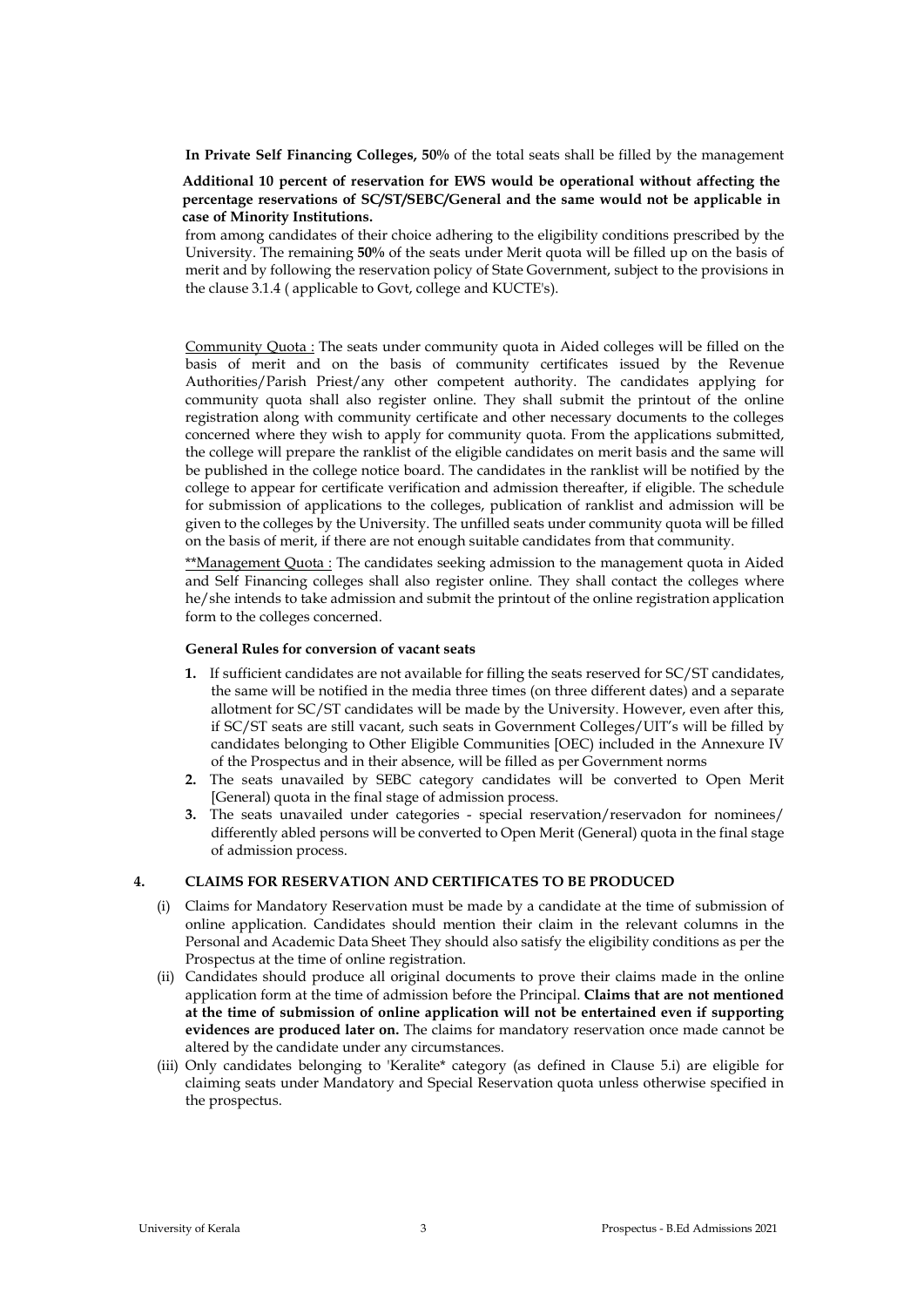**In Private Self Financing Colleges, 50%** of the total seats shall be filled by the management

### **Additional 10 percent of reservation for EWS would be operational without affecting the percentage reservations of SC/ST/SEBC/General and the same would not be applicable in case of Minority Institutions.**

from among candidates of their choice adhering to the eligibility conditions prescribed by the University. The remaining **50%** of the seats under Merit quota will be filled up on the basis of merit and by following the reservation policy of State Government, subject to the provisions in the clause 3.1.4 ( applicable to Govt, college and KUCTE's).

Community Quota : The seats under community quota in Aided colleges will be filled on the basis of merit and on the basis of community certificates issued by the Revenue Authorities/Parish Priest/any other competent authority. The candidates applying for community quota shall also register online. They shall submit the printout of the online registration along with community certificate and other necessary documents to the colleges concerned where they wish to apply for community quota. From the applications submitted, the college will prepare the ranklist of the eligible candidates on merit basis and the same will be published in the college notice board. The candidates in the ranklist will be notified by the college to appear for certificate verification and admission thereafter, if eligible. The schedule for submission of applications to the colleges, publication of ranklist and admission will be given to the colleges by the University. The unfilled seats under community quota will be filled on the basis of merit, if there are not enough suitable candidates from that community.

\*\*Management Quota : The candidates seeking admission to the management quota in Aided and Self Financing colleges shall also register online. They shall contact the colleges where he/she intends to take admission and submit the printout of the online registration application form to the colleges concerned.

#### **General Rules for conversion of vacant seats**

- **1.** If sufficient candidates are not available for filling the seats reserved for SC/ST candidates, the same will be notified in the media three times (on three different dates) and a separate allotment for SC/ST candidates will be made by the University. However, even after this, if SC/ST seats are still vacant, such seats in Government ColIeges/UIT's will be filled by candidates belonging to Other Eligible Communities [OEC) included in the Annexure IV of the Prospectus and in their absence, will be filled as per Government norms
- **2.** The seats unavailed by SEBC category candidates will be converted to Open Merit [General) quota in the final stage of admission process.
- **3.** The seats unavailed under categories special reservation/reservadon for nominees/ differently abled persons will be converted to Open Merit (General) quota in the final stage of admission process.

#### **4. CLAIMS FOR RESERVATION AND CERTIFICATES TO BE PRODUCED**

- (i) Claims for Mandatory Reservation must be made by a candidate at the time of submission of online application. Candidates should mention their claim in the relevant columns in the Personal and Academic Data Sheet They should also satisfy the eligibility conditions as per the Prospectus at the time of online registration.
- (ii) Candidates should produce all original documents to prove their claims made in the online application form at the time of admission before the Principal. **Claims that are not mentioned at the time of submission of online application will not be entertained even if supporting evidences are produced later on.** The claims for mandatory reservation once made cannot be altered by the candidate under any circumstances.
- (iii) Only candidates belonging to 'Keralite\* category (as defined in Clause 5.i) are eligible for claiming seats under Mandatory and Special Reservation quota unless otherwise specified in the prospectus.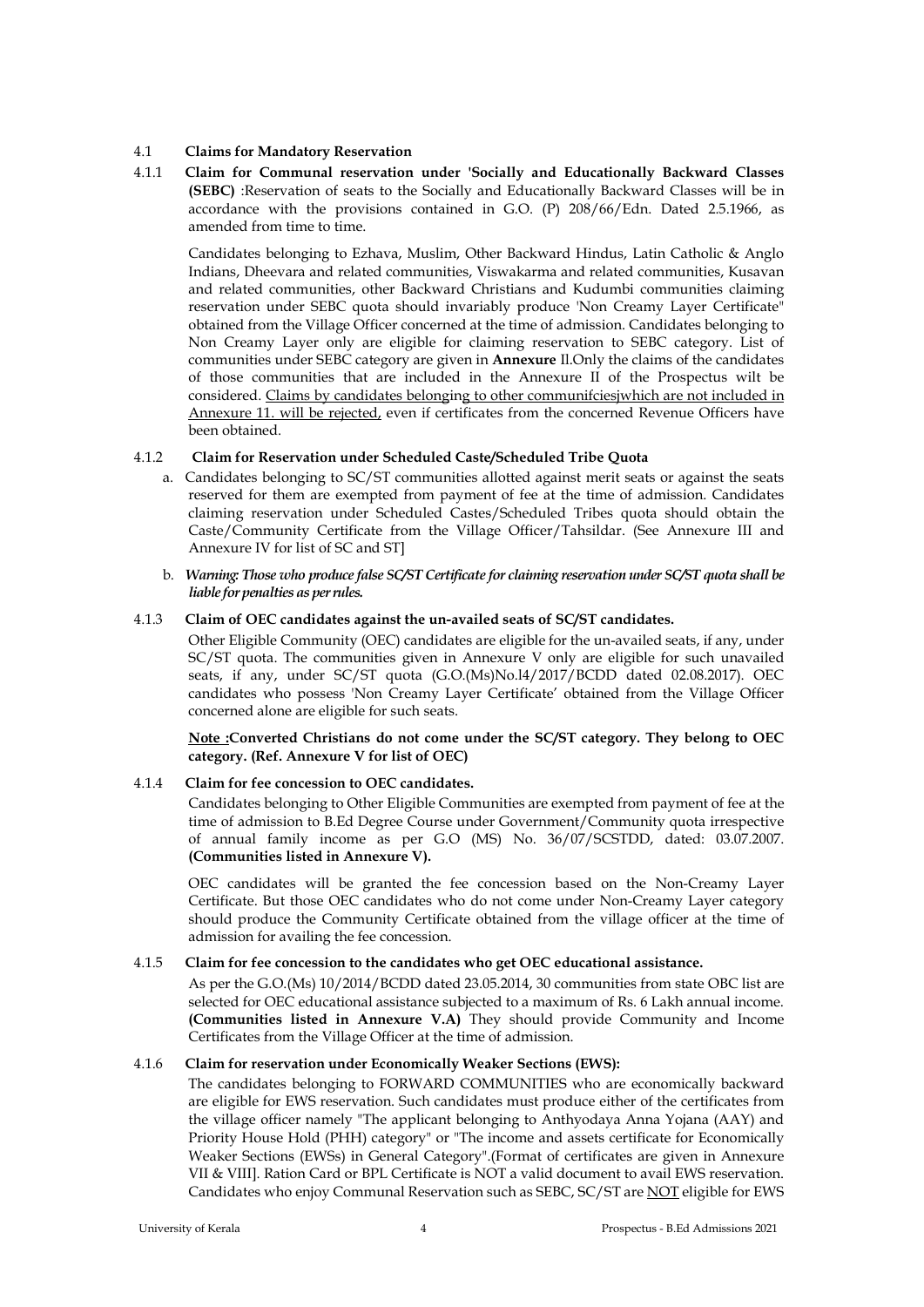### 4.1 **Claims for Mandatory Reservation**

4.1.1 **Claim for Communal reservation under 'Socially and Educationally Backward Classes (SEBC)** :Reservation of seats to the Socially and Educationally Backward Classes will be in accordance with the provisions contained in G.O. (P) 208/66/Edn. Dated 2.5.1966, as amended from time to time.

Candidates belonging to Ezhava, Muslim, Other Backward Hindus, Latin Catholic & Anglo Indians, Dheevara and related communities, Viswakarma and related communities, Kusavan and related communities, other Backward Christians and Kudumbi communities claiming reservation under SEBC quota should invariably produce 'Non Creamy Layer Certificate" obtained from the Village Officer concerned at the time of admission. Candidates belonging to Non Creamy Layer only are eligible for claiming reservation to SEBC category. List of communities under SEBC category are given in **Annexure** Il.Only the claims of the candidates of those communities that are included in the Annexure II of the Prospectus wilt be considered. Claims by candidates belonging to other communifciesjwhich are not included in Annexure 11. will be rejected, even if certificates from the concerned Revenue Officers have been obtained.

### 4.1.2 **Claim for Reservation under Scheduled Caste/Scheduled Tribe Quota**

- a. Candidates belonging to SC/ST communities allotted against merit seats or against the seats reserved for them are exempted from payment of fee at the time of admission. Candidates claiming reservation under Scheduled Castes/Scheduled Tribes quota should obtain the Caste/Community Certificate from the Village Officer/Tahsildar. (See Annexure III and Annexure IV for list of SC and ST]
- b. *Warning: Those who produce false SC/ST Certificate for claiming reservation under SC/ST quota shall be liable for penalties as per rules.*

### 4.1.3 **Claim of OEC candidates against the un-availed seats of SC/ST candidates.**

Other Eligible Community (OEC) candidates are eligible for the un-availed seats, if any, under SC/ST quota. The communities given in Annexure V only are eligible for such unavailed seats, if any, under SC/ST quota (G.O.(Ms)No.l4/2017/BCDD dated 02.08.2017). OEC candidates who possess 'Non Creamy Layer Certificate' obtained from the Village Officer concerned alone are eligible for such seats.

**Note :Converted Christians do not come under the SC/ST category. They belong to OEC category. (Ref. Annexure V for list of OEC)**

# 4.1.4 **Claim for fee concession to OEC candidates.**

Candidates belonging to Other Eligible Communities are exempted from payment of fee at the time of admission to B.Ed Degree Course under Government/Community quota irrespective of annual family income as per G.O (MS) No. 36/07/SCSTDD, dated: 03.07.2007. **(Communities listed in Annexure V).**

OEC candidates will be granted the fee concession based on the Non-Creamy Layer Certificate. But those OEC candidates who do not come under Non-Creamy Layer category should produce the Community Certificate obtained from the village officer at the time of admission for availing the fee concession.

# 4.1.5 **Claim for fee concession to the candidates who get OEC educational assistance.**

As per the G.O.(Ms) 10/2014/BCDD dated 23.05.2014, 30 communities from state OBC list are selected for OEC educational assistance subjected to a maximum of Rs. 6 Lakh annual income. **(Communities listed in Annexure V.A)** They should provide Community and Income Certificates from the Village Officer at the time of admission.

# 4.1.6 **Claim for reservation under Economically Weaker Sections (EWS):**

The candidates belonging to FORWARD COMMUNITIES who are economically backward are eligible for EWS reservation. Such candidates must produce either of the certificates from the village officer namely "The applicant belonging to Anthyodaya Anna Yojana (AAY) and Priority House Hold (PHH) category" or "The income and assets certificate for Economically Weaker Sections (EWSs) in General Category".(Format of certificates are given in Annexure VII & VIII]. Ration Card or BPL Certificate is NOT a valid document to avail EWS reservation. Candidates who enjoy Communal Reservation such as SEBC, SC/ST are NOT eligible for EWS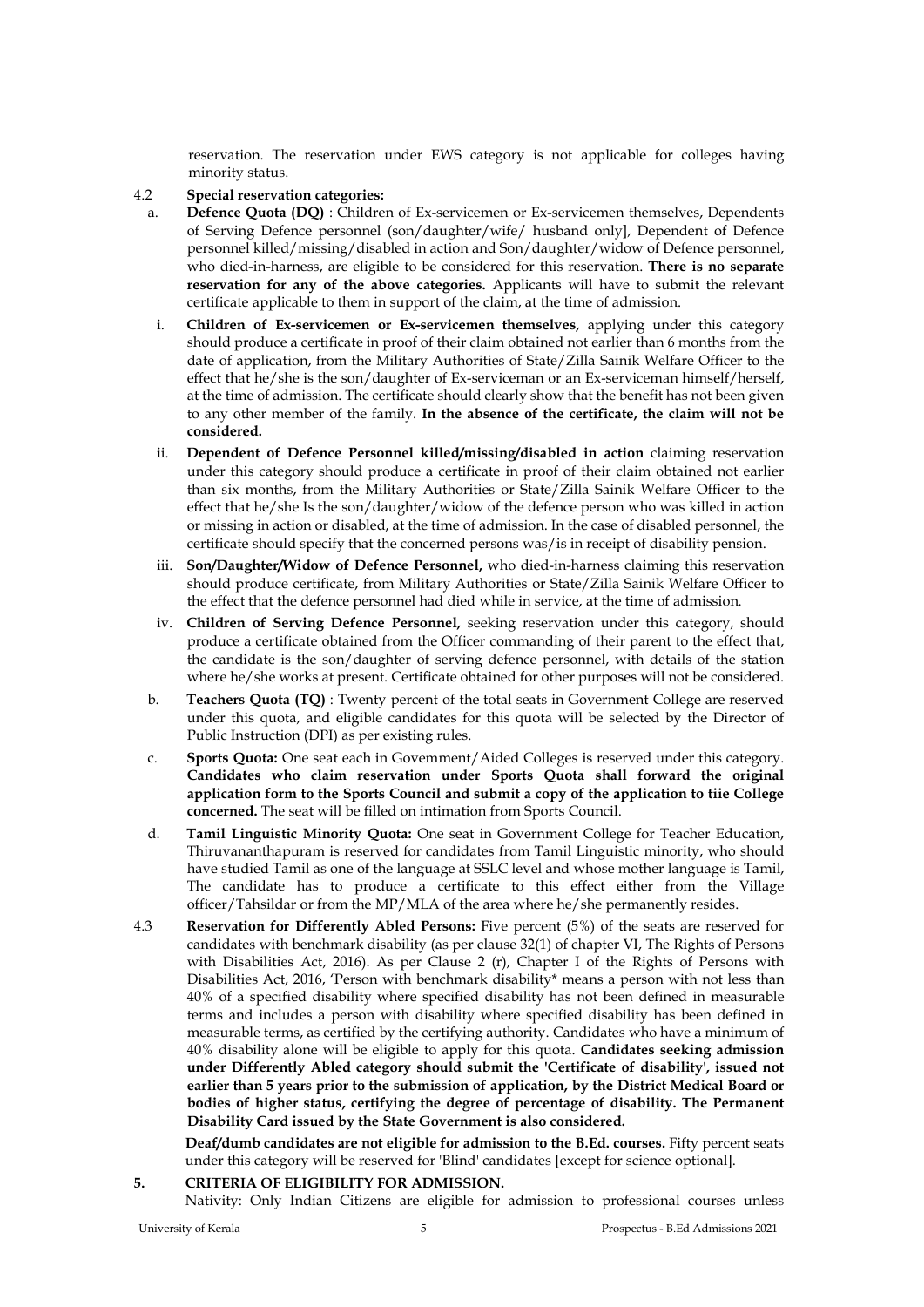reservation. The reservation under EWS category is not applicable for colleges having minority status.

# 4.2 **Special reservation categories:**

- a. **Defence Quota (DQ)** : Children of Ex-servicemen or Ex-servicemen themselves, Dependents of Serving Defence personnel (son/daughter/wife/ husband only], Dependent of Defence personnel killed/missing/disabled in action and Son/daughter/widow of Defence personnel, who died-in-harness, are eligible to be considered for this reservation. **There is no separate reservation for any of the above categories.** Applicants will have to submit the relevant certificate applicable to them in support of the claim, at the time of admission.
- i. **Children of Ex-servicemen or Ex-servicemen themselves,** applying under this category should produce a certificate in proof of their claim obtained not earlier than 6 months from the date of application, from the Military Authorities of State/Zilla Sainik Welfare Officer to the effect that he/she is the son/daughter of Ex-serviceman or an Ex-serviceman himself/herself, at the time of admission. The certificate should clearly show that the benefit has not been given to any other member of the family. **In the absence of the certificate, the claim will not be considered.**
- ii. **Dependent of Defence Personnel killed/missing/disabled in action** claiming reservation under this category should produce a certificate in proof of their claim obtained not earlier than six months, from the Military Authorities or State/Zilla Sainik Welfare Officer to the effect that he/she Is the son/daughter/widow of the defence person who was killed in action or missing in action or disabled, at the time of admission. In the case of disabled personnel, the certificate should specify that the concerned persons was/is in receipt of disability pension.
- iii. **Son/Daughter/Widow of Defence Personnel,** who died-in-harness claiming this reservation should produce certificate, from Military Authorities or State/Zilla Sainik Welfare Officer to the effect that the defence personnel had died while in service, at the time of admission.
- iv. **Children of Serving Defence Personnel,** seeking reservation under this category, should produce a certificate obtained from the Officer commanding of their parent to the effect that, the candidate is the son/daughter of serving defence personnel, with details of the station where he/she works at present. Certificate obtained for other purposes will not be considered.
- b. **Teachers Quota (TQ)** : Twenty percent of the total seats in Government College are reserved under this quota, and eligible candidates for this quota will be selected by the Director of Public Instruction (DPI) as per existing rules.
- c. **Sports Quota:** One seat each in Govemment/Aided Colleges is reserved under this category. **Candidates who claim reservation under Sports Quota shall forward the original application form to the Sports Council and submit a copy of the application to tiie College concerned.** The seat will be filled on intimation from Sports Council.
- d. **Tamil Linguistic Minority Quota:** One seat in Government College for Teacher Education, Thiruvananthapuram is reserved for candidates from Tamil Linguistic minority, who should have studied Tamil as one of the language at SSLC level and whose mother language is Tamil, The candidate has to produce a certificate to this effect either from the Village officer/Tahsildar or from the MP/MLA of the area where he/she permanently resides.
- 4.3 **Reservation for Differently Abled Persons:** Five percent (5%) of the seats are reserved for candidates with benchmark disability (as per clause 32(1) of chapter VI, The Rights of Persons with Disabilities Act, 2016). As per Clause 2 (r), Chapter I of the Rights of Persons with Disabilities Act, 2016, 'Person with benchmark disability\* means a person with not less than 40% of a specified disability where specified disability has not been defined in measurable terms and includes a person with disability where specified disability has been defined in measurable terms, as certified by the certifying authority. Candidates who have a minimum of 40% disability alone will be eligible to apply for this quota. **Candidates seeking admission under Differently Abled category should submit the 'Certificate of disability', issued not earlier than 5 years prior to the submission of application, by the District Medical Board or bodies of higher status, certifying the degree of percentage of disability. The Permanent Disability Card issued by the State Government is also considered.**

**Deaf/dumb candidates are not eligible for admission to the B.Ed. courses.** Fifty percent seats under this category will be reserved for 'Blind' candidates [except for science optional].

**5. CRITERIA OF ELIGIBILITY FOR ADMISSION.** Nativity: Only Indian Citizens are eligible for admission to professional courses unless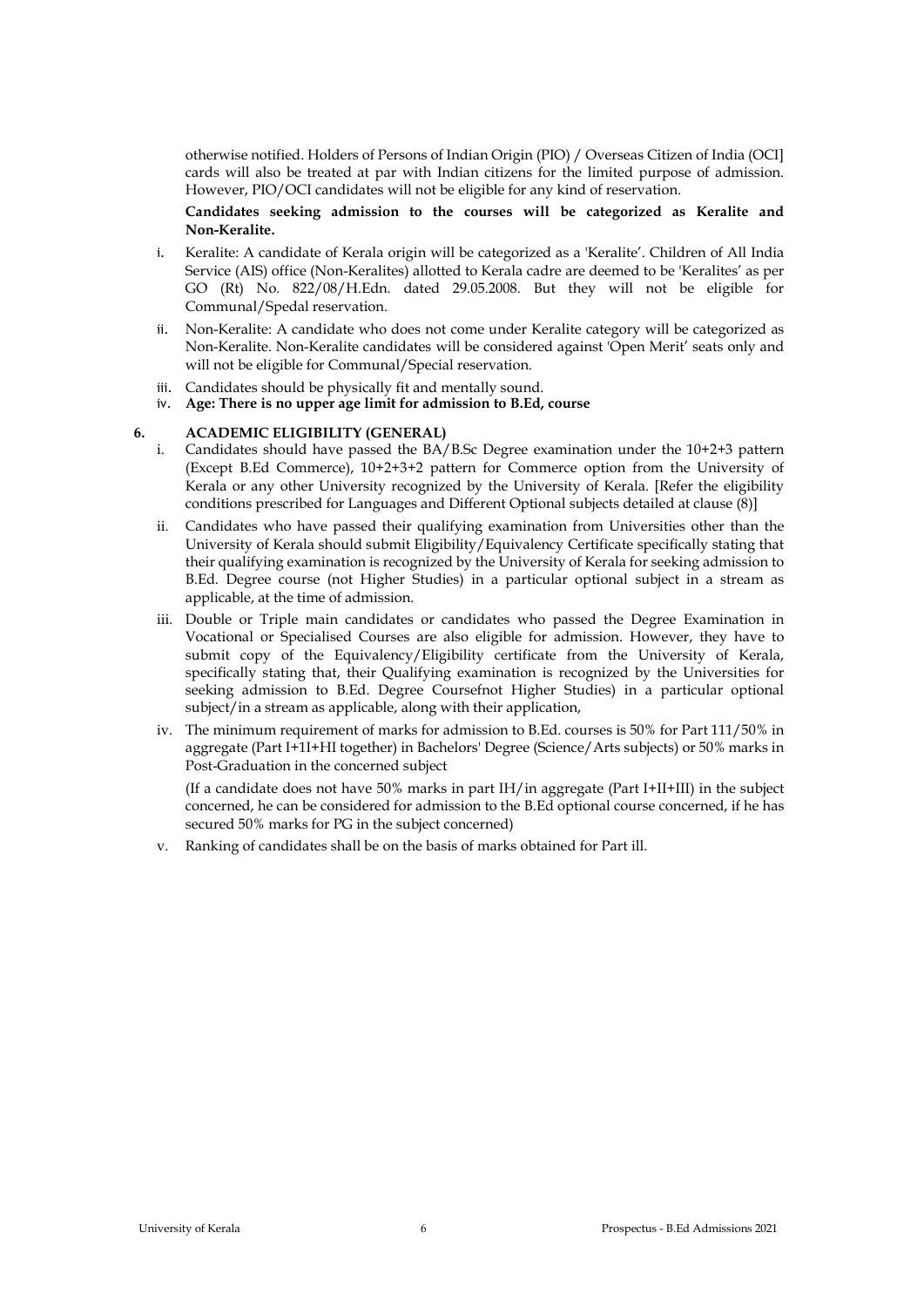otherwise notified. Holders of Persons of Indian Origin (PIO) / Overseas Citizen of India (OCI] cards will also be treated at par with Indian citizens for the limited purpose of admission. However, PIO/OCI candidates will not be eligible for any kind of reservation.

**Candidates seeking admission to the courses will be categorized as Keralite and Non-Keralite.**

- i. Keralite: A candidate of Kerala origin will be categorized as a 'Keralite'. Children of All India Service (AIS) office (Non-Keralites) allotted to Kerala cadre are deemed to be 'Keralites' as per GO (Rt) No. 822/08/H.Edn. dated 29.05.2008. But they will not be eligible for Communal/Spedal reservation.
- ii. Non-Keralite: A candidate who does not come under Keralite category will be categorized as Non-Keralite. Non-Keralite candidates will be considered against 'Open Merit' seats only and will not be eligible for Communal/Special reservation.
- iii. Candidates should be physically fit and mentally sound.
- iv. **Age: There is no upper age limit for admission to B.Ed, course**

#### **6. ACADEMIC ELIGIBILITY (GENERAL)**

- i. Candidates should have passed the BA/B.Sc Degree examination under the 10+2+3 pattern (Except B.Ed Commerce), 10+2+3+2 pattern for Commerce option from the University of Kerala or any other University recognized by the University of Kerala. [Refer the eligibility conditions prescribed for Languages and Different Optional subjects detailed at clause (8)]
- ii. Candidates who have passed their qualifying examination from Universities other than the University of Kerala should submit Eligibility/Equivalency Certificate specifically stating that their qualifying examination is recognized by the University of Kerala for seeking admission to B.Ed. Degree course (not Higher Studies) in a particular optional subject in a stream as applicable, at the time of admission.
- iii. Double or Triple main candidates or candidates who passed the Degree Examination in Vocational or Specialised Courses are also eligible for admission. However, they have to submit copy of the Equivalency/Eligibility certificate from the University of Kerala, specifically stating that, their Qualifying examination is recognized by the Universities for seeking admission to B.Ed. Degree Coursefnot Higher Studies) in a particular optional subject/in a stream as applicable, along with their application,
- iv. The minimum requirement of marks for admission to B.Ed. courses is 50% for Part 111/50% in aggregate (Part I+1I+HI together) in Bachelors' Degree (Science/Arts subjects) or 50% marks in Post-Graduation in the concerned subject

(If a candidate does not have 50% marks in part IH/in aggregate (Part I+II+III) in the subject concerned, he can be considered for admission to the B.Ed optional course concerned, if he has secured 50% marks for PG in the subject concerned)

v. Ranking of candidates shall be on the basis of marks obtained for Part ill.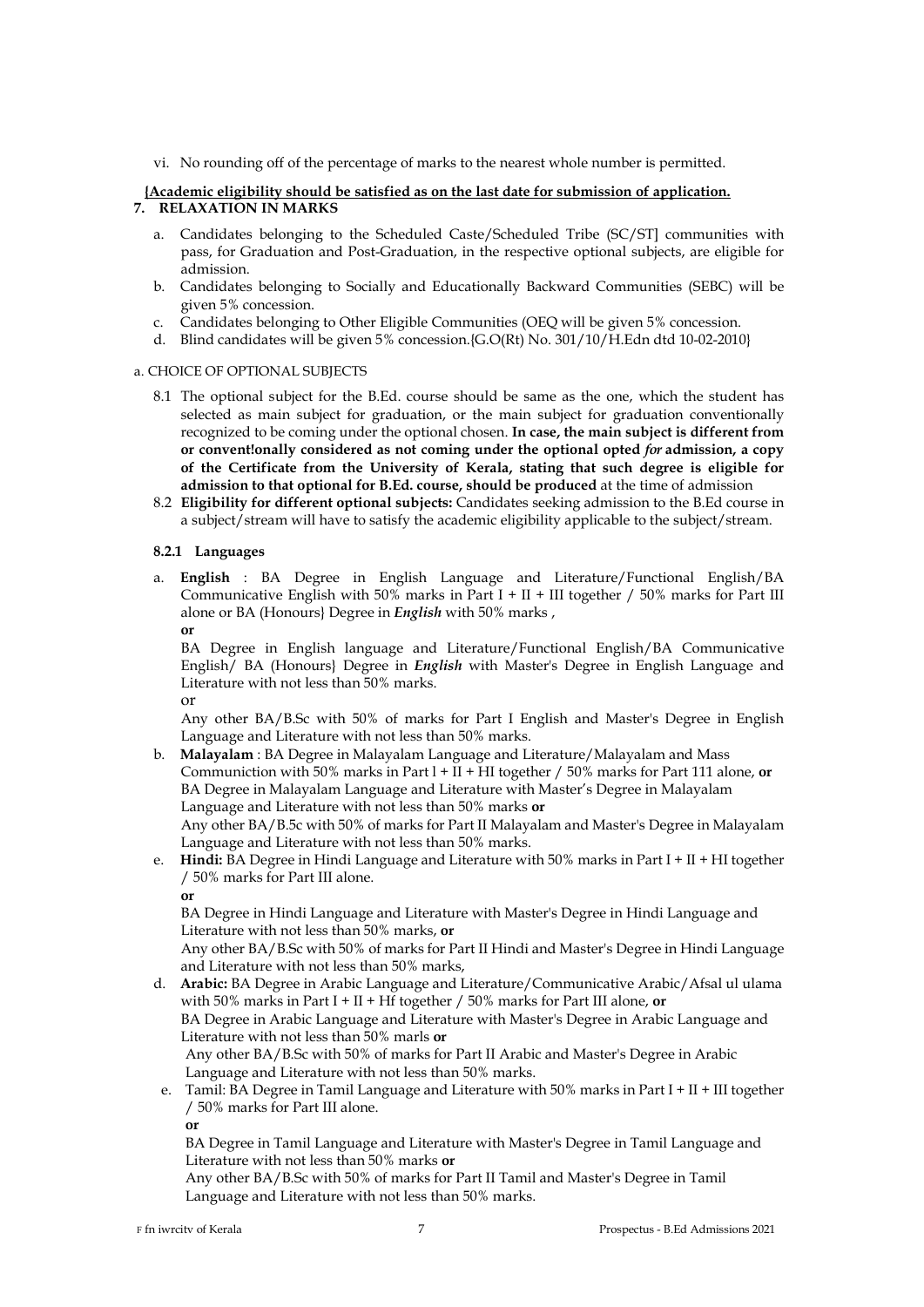vi. No rounding off of the percentage of marks to the nearest whole number is permitted.

### **{Academic eligibility should be satisfied as on the last date for submission of application. 7. RELAXATION IN MARKS**

- a. Candidates belonging to the Scheduled Caste/Scheduled Tribe (SC/ST] communities with pass, for Graduation and Post-Graduation, in the respective optional subjects, are eligible for admission.
- b. Candidates belonging to Socially and Educationally Backward Communities (SEBC) will be given 5% concession.
- c. Candidates belonging to Other Eligible Communities (OEQ will be given 5% concession.
- d. Blind candidates will be given 5% concession.{G.O(Rt) No. 301/10/H.Edn dtd 10-02-2010}

### a. CHOICE OF OPTIONAL SUBJECTS

- 8.1 The optional subject for the B.Ed. course should be same as the one, which the student has selected as main subject for graduation, or the main subject for graduation conventionally recognized to be coming under the optional chosen. **In case, the main subject is different from or convent!onally considered as not coming under the optional opted** *for* **admission, a copy of the Certificate from the University of Kerala, stating that such degree is eligible for admission to that optional for B.Ed. course, should be produced** at the time of admission
- 8.2 **Eligibility for different optional subjects:** Candidates seeking admission to the B.Ed course in a subject/stream will have to satisfy the academic eligibility applicable to the subject/stream.

### **8.2.1 Languages**

a. **English** : BA Degree in English Language and Literature/Functional English/BA Communicative English with 50% marks in Part I + II + III together / 50% marks for Part III alone or BA (Honours} Degree in *English* with 50% marks , **or**

BA Degree in English language and Literature/Functional English/BA Communicative English/ BA (Honours} Degree in *English* with Master's Degree in English Language and Literature with not less than 50% marks. or

Any other BA/B.Sc with 50% of marks for Part I English and Master's Degree in English Language and Literature with not less than 50% marks.

b. **Malayalam** : BA Degree in Malayalam Language and Literature/Malayalam and Mass Communiction with 50% marks in Part l + II + HI together / 50% marks for Part 111 alone, **or** BA Degree in Malayalam Language and Literature with Master's Degree in Malayalam Language and Literature with not less than 50% marks **or** Any other BA/B.5c with 50% of marks for Part II Malayalam and Master's Degree in Malayalam

Language and Literature with not less than 50% marks.

e. **Hindi:** BA Degree in Hindi Language and Literature with 50% marks in Part I + II + HI together / 50% marks for Part III alone.

**or**

BA Degree in Hindi Language and Literature with Master's Degree in Hindi Language and Literature with not less than 50% marks, **or**

Any other BA/B.Sc with 50% of marks for Part II Hindi and Master's Degree in Hindi Language and Literature with not less than 50% marks,

- d. **Arabic:** BA Degree in Arabic Language and Literature/Communicative Arabic/Afsal ul ulama with 50% marks in Part I + II + Hf together / 50% marks for Part III alone, **or** BA Degree in Arabic Language and Literature with Master's Degree in Arabic Language and Literature with not less than 50% marls **or** Any other BA/B.Sc with 50% of marks for Part II Arabic and Master's Degree in Arabic Language and Literature with not less than 50% marks.
- e. Tamil: BA Degree in Tamil Language and Literature with 50% marks in Part I + II + III together / 50% marks for Part III alone. **or**

BA Degree in Tamil Language and Literature with Master's Degree in Tamil Language and Literature with not less than 50% marks **or**

Any other BA/B.Sc with 50% of marks for Part II Tamil and Master's Degree in Tamil Language and Literature with not less than 50% marks.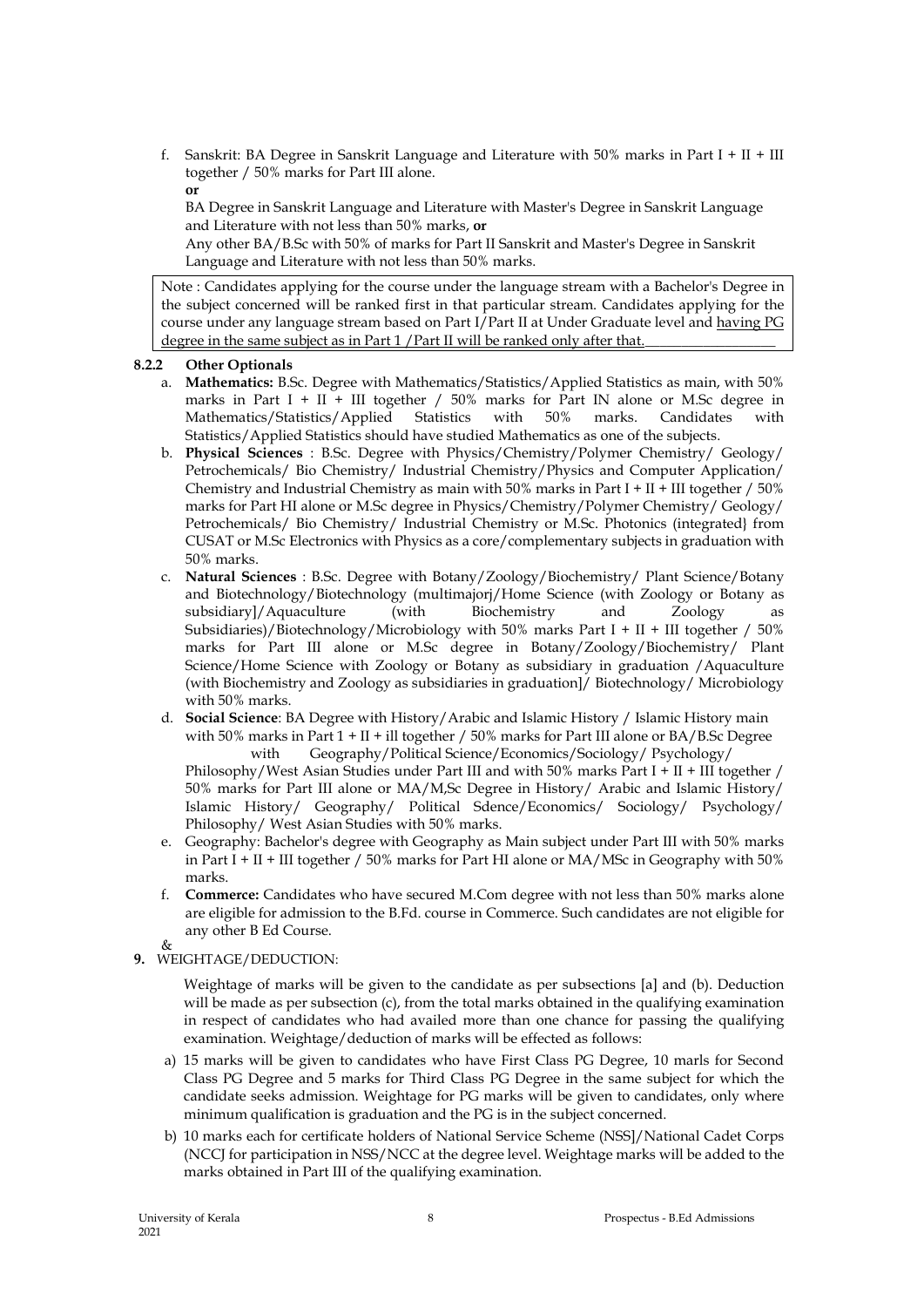f. Sanskrit: BA Degree in Sanskrit Language and Literature with  $50\%$  marks in Part I + II + III together / 50% marks for Part III alone. **or**

BA Degree in Sanskrit Language and Literature with Master's Degree in Sanskrit Language and Literature with not less than 50% marks, **or**

Any other BA/B.Sc with 50% of marks for Part II Sanskrit and Master's Degree in Sanskrit Language and Literature with not less than 50% marks.

Note : Candidates applying for the course under the language stream with a Bachelor's Degree in the subject concerned will be ranked first in that particular stream. Candidates applying for the course under any language stream based on Part I/Part II at Under Graduate level and having PG degree in the same subject as in Part 1 / Part II will be ranked only after that.

# **8.2.2 Other Optionals**

- a. **Mathematics:** B.Sc. Degree with Mathematics/Statistics/Applied Statistics as main, with 50% marks in Part I + II + III together  $/50\%$  marks for Part IN alone or M.Sc degree in Mathematics/Statistics/Applied Statistics with 50% marks. Candidates with Statistics/Applied Statistics should have studied Mathematics as one of the subjects.
- b. **Physical Sciences** : B.Sc. Degree with Physics/Chemistry/Polymer Chemistry/ Geology/ Petrochemicals/ Bio Chemistry/ Industrial Chemistry/Physics and Computer Application/ Chemistry and Industrial Chemistry as main with  $50\%$  marks in Part I + II + III together /  $50\%$ marks for Part HI alone or M.Sc degree in Physics/Chemistry/Polymer Chemistry/ Geology/ Petrochemicals/ Bio Chemistry/ Industrial Chemistry or M.Sc. Photonics (integrated} from CUSAT or M.Sc Electronics with Physics as a core/complementary subjects in graduation with 50% marks.
- c. **Natural Sciences** : B.Sc. Degree with Botany/Zoology/Biochemistry/ Plant Science/Botany and Biotechnology/Biotechnology (multimajorj/Home Science (with Zoology or Botany as subsidiary)/Aquaculture (with Biochemistry and Zoology as subsidiary]/Aquaculture (with Biochemistry and Zoology as Subsidiaries)/Biotechnology/Microbiology with 50% marks Part I + II + III together / 50% marks for Part III alone or M.Sc degree in Botany/Zoology/Biochemistry/ Plant Science/Home Science with Zoology or Botany as subsidiary in graduation /Aquaculture (with Biochemistry and Zoology as subsidiaries in graduation]/ Biotechnology/ Microbiology with 50% marks.
- d. **Social Science**: BA Degree with History/Arabic and Islamic History / Islamic History main with 50% marks in Part  $1 + II + ill$  together / 50% marks for Part III alone or BA/B.Sc Degree with Geography/Political Science/Economics/Sociology/ Psychology/

Philosophy/West Asian Studies under Part III and with 50% marks Part I + II + III together / 50% marks for Part III alone or MA/M,Sc Degree in History/ Arabic and Islamic History/ Islamic History/ Geography/ Political Sdence/Economics/ Sociology/ Psychology/ Philosophy/ West Asian Studies with 50% marks.

- e. Geography: Bachelor's degree with Geography as Main subject under Part III with 50% marks in Part  $\overline{I}$  + II + III together / 50% marks for Part HI alone or MA/MSc in Geography with 50% marks.
- f. **Commerce:** Candidates who have secured M.Com degree with not less than 50% marks alone are eligible for admission to the B.Fd. course in Commerce. Such candidates are not eligible for any other B Ed Course.  $\mathcal{R}_{\tau}$
- **9.** WEIGHTAGE/DEDUCTION:

Weightage of marks will be given to the candidate as per subsections [a] and (b). Deduction will be made as per subsection (c), from the total marks obtained in the qualifying examination in respect of candidates who had availed more than one chance for passing the qualifying examination. Weightage/deduction of marks will be effected as follows:

- a) 15 marks will be given to candidates who have First Class PG Degree, 10 marls for Second Class PG Degree and 5 marks for Third Class PG Degree in the same subject for which the candidate seeks admission. Weightage for PG marks will be given to candidates, only where minimum qualification is graduation and the PG is in the subject concerned.
- b) 10 marks each for certificate holders of National Service Scheme (NSS]/National Cadet Corps (NCCJ for participation in NSS/NCC at the degree level. Weightage marks will be added to the marks obtained in Part III of the qualifying examination.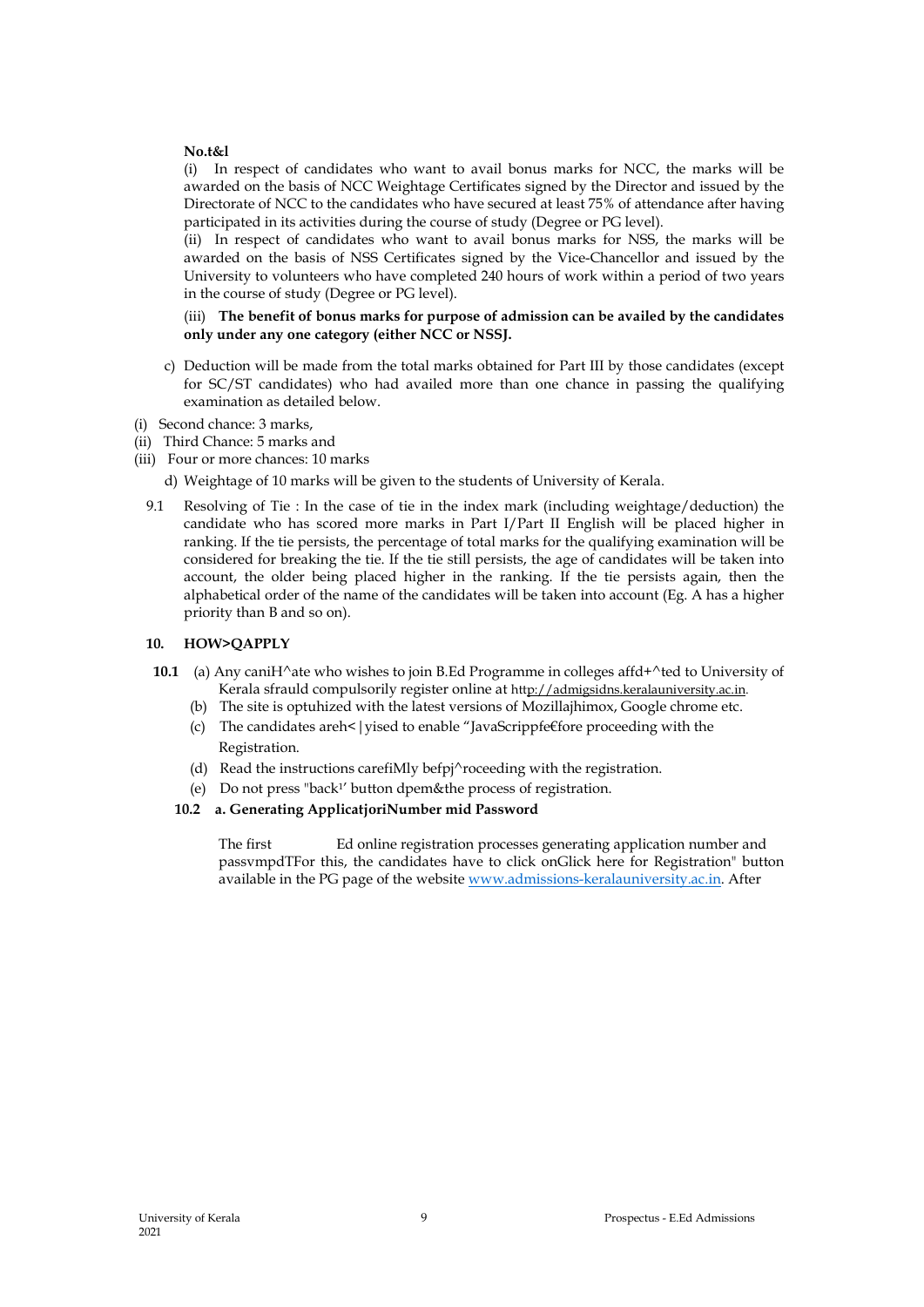### **No.t&l**

(i) In respect of candidates who want to avail bonus marks for NCC, the marks will be awarded on the basis of NCC Weightage Certificates signed by the Director and issued by the Directorate of NCC to the candidates who have secured at least 75% of attendance after having participated in its activities during the course of study (Degree or PG level).

(ii) In respect of candidates who want to avail bonus marks for NSS, the marks will be awarded on the basis of NSS Certificates signed by the Vice-Chancellor and issued by the University to volunteers who have completed 240 hours of work within a period of two years in the course of study (Degree or PG level).

(iii) **The benefit of bonus marks for purpose of admission can be availed by the candidates only under any one category (either NCC or NSSJ.**

- c) Deduction will be made from the total marks obtained for Part III by those candidates (except for SC/ST candidates) who had availed more than one chance in passing the qualifying examination as detailed below.
- (i) Second chance: 3 marks,
- (ii) Third Chance: 5 marks and
- (iii) Four or more chances: 10 marks
	- d) Weightage of 10 marks will be given to the students of University of Kerala.
	- 9.1 Resolving of Tie : In the case of tie in the index mark (including weightage/deduction) the candidate who has scored more marks in Part I/Part II English will be placed higher in ranking. If the tie persists, the percentage of total marks for the qualifying examination will be considered for breaking the tie. If the tie still persists, the age of candidates will be taken into account, the older being placed higher in the ranking. If the tie persists again, then the alphabetical order of the name of the candidates will be taken into account (Eg. A has a higher priority than B and so on).

# **10. HOW>QAPPLY**

- **10.1** (a) Any caniH^ate who wishes to join B.Ed Programme in colleges affd+^ted to University of Kerala sfrauld compulsorily register online at http://admigsidns.keralauniversity.ac.in.
	- (b) The site is optuhized with the latest versions of Mozillajhimox, Google chrome etc.
	- (c) The candidates areh< | vised to enable "JavaScrippfe€fore proceeding with the Registration.
	- (d) Read the instructions carefiMly befpj^roceeding with the registration.
	- (e) Do not press "back1' button dpem&the process of registration.

#### **10.2 a. Generating ApplicatjoriNumber mid Password**

The first Ed online registration processes generating application number and passvmpdTFor this, the candidates have to click onGlick here for Registration" button available in the PG page of the website www.admissions-keralauniversity.ac.in. After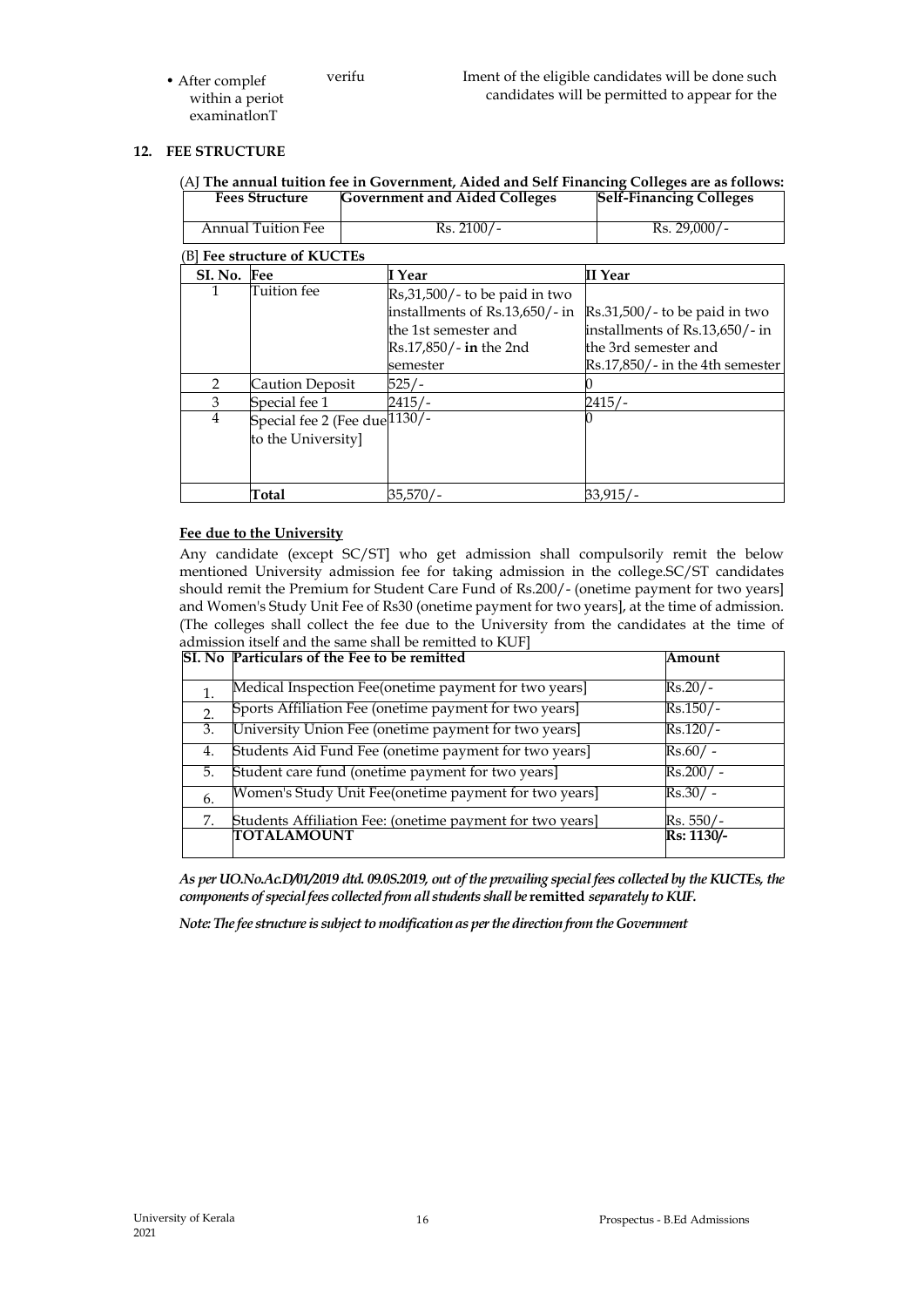• After complef within a periot examinatlonT

# **12. FEE STRUCTURE**

| <b>Fees Structure</b> |                                                                  | <b>Government and Aided Colleges</b>                                                                                          | <b>Self-Financing Colleges</b>                                                                                                         |
|-----------------------|------------------------------------------------------------------|-------------------------------------------------------------------------------------------------------------------------------|----------------------------------------------------------------------------------------------------------------------------------------|
| Annual Tuition Fee    |                                                                  | $Rs. 2100/-$                                                                                                                  | Rs. 29,000/-                                                                                                                           |
|                       | [B] Fee structure of KUCTEs                                      |                                                                                                                               |                                                                                                                                        |
| SI. No. Fee           |                                                                  | I Year                                                                                                                        | II Year                                                                                                                                |
| 1                     | Tuition fee                                                      | Rs,31,500/- to be paid in two<br>installments of Rs.13,650/- in<br>the 1st semester and<br>Rs.17,850/- in the 2nd<br>semester | $\text{Rs}.31,500/$ - to be paid in two<br>installments of Rs.13,650/-in<br>the 3rd semester and<br>$Rs.17,850/$ - in the 4th semester |
| 2                     | Caution Deposit                                                  | 525/-                                                                                                                         |                                                                                                                                        |
| 3                     | Special fee 1                                                    | 2415/-                                                                                                                        | 2415/-                                                                                                                                 |
| $\overline{4}$        | Special fee 2 (Fee due $1\overline{130/-}$<br>to the University] |                                                                                                                               |                                                                                                                                        |
|                       | Total                                                            | 35,570/-                                                                                                                      | 33,915/-                                                                                                                               |

# **Fee due to the University**

Any candidate (except SC/ST] who get admission shall compulsorily remit the below mentioned University admission fee for taking admission in the college.SC/ST candidates should remit the Premium for Student Care Fund of Rs.200/- (onetime payment for two years] and Women's Study Unit Fee of Rs30 (onetime payment for two years], at the time of admission. (The colleges shall collect the fee due to the University from the candidates at the time of admission itself and the same shall be remitted to KUF]

|    | SI. No Particulars of the Fee to be remitted              | Amount                          |  |
|----|-----------------------------------------------------------|---------------------------------|--|
|    |                                                           |                                 |  |
| 1. | Medical Inspection Fee(onetime payment for two years]     | Rs.20/-                         |  |
| 2. | Sports Affiliation Fee (onetime payment for two years]    | $Rs.150/-$                      |  |
| 3. | University Union Fee (onetime payment for two years]      | $Rs.120/-$                      |  |
| 4. | Students Aid Fund Fee (onetime payment for two years]     | $Rs.60/$ -                      |  |
| 5. | Student care fund (onetime payment for two years]         | $Rs.200/ -$                     |  |
| 6. | Women's Study Unit Fee(onetime payment for two years]     | Rs.30/-                         |  |
| 7. | Students Affiliation Fee: (onetime payment for two years] | $Rs. 550/-$                     |  |
|    | TOTALAMOUNT                                               | $\overline{\text{Rs: }1130}$ /- |  |

*As per UO.No.Ac.D/01/2019 dtd. 09.0S.2019, out of the prevailing special fees collected by the KUCTEs, the components of special fees collected from all students shall be* **remitted** *separately to KUF.*

*Note: The fee structure is subject to modification as per the direction from the Government*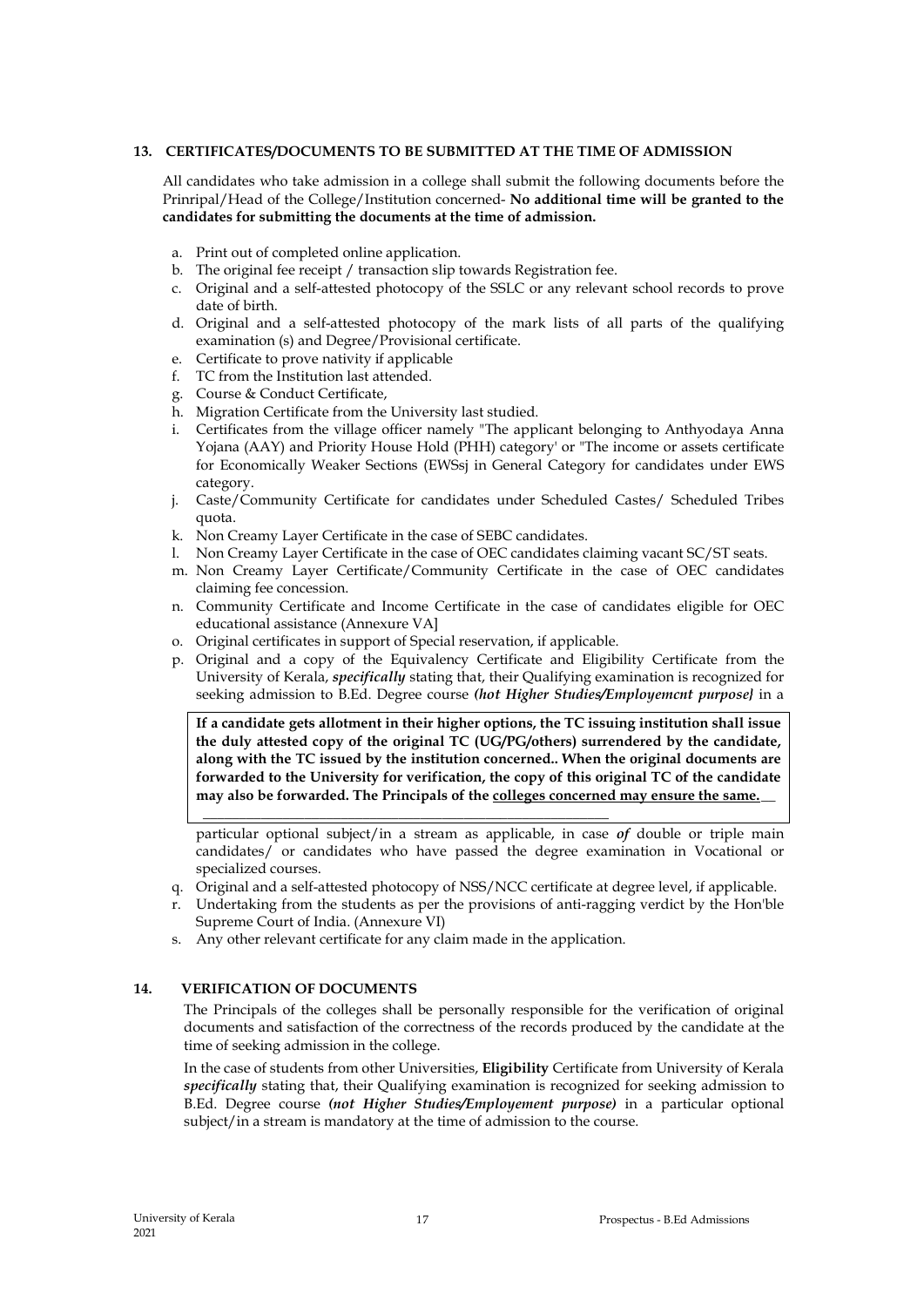# **13. CERTIFICATES/DOCUMENTS TO BE SUBMITTED AT THE TIME OF ADMISSION**

All candidates who take admission in a college shall submit the following documents before the Prinripal/Head of the College/Institution concerned- **No additional time will be granted to the candidates for submitting the documents at the time of admission.**

- a. Print out of completed online application.
- b. The original fee receipt / transaction slip towards Registration fee.
- c. Original and a self-attested photocopy of the SSLC or any relevant school records to prove date of birth.
- d. Original and a self-attested photocopy of the mark lists of all parts of the qualifying examination (s) and Degree/Provisional certificate.
- e. Certificate to prove nativity if applicable
- f. TC from the Institution last attended.
- g. Course & Conduct Certificate,
- h. Migration Certificate from the University last studied.
- i. Certificates from the village officer namely "The applicant belonging to Anthyodaya Anna Yojana (AAY) and Priority House Hold (PHH) category' or "The income or assets certificate for Economically Weaker Sections (EWSsj in General Category for candidates under EWS category.
- j. Caste/Community Certificate for candidates under Scheduled Castes/ Scheduled Tribes quota.
- k. Non Creamy Layer Certificate in the case of SEBC candidates.
- l. Non Creamy Layer Certificate in the case of OEC candidates claiming vacant SC/ST seats.
- m. Non Creamy Layer Certificate/Community Certificate in the case of OEC candidates claiming fee concession.
- n. Community Certificate and Income Certificate in the case of candidates eligible for OEC educational assistance (Annexure VA]
- o. Original certificates in support of Special reservation, if applicable.
- p. Original and a copy of the Equivalency Certificate and Eligibility Certificate from the University of Kerala, *specifically* stating that, their Qualifying examination is recognized for seeking admission to B.Ed. Degree course *(hot Higher Studies/Employemcnt purpose}* in a

**If a candidate gets allotment in their higher options, the TC issuing institution shall issue the duly attested copy of the original TC (UG/PG/others) surrendered by the candidate, along with the TC issued by the institution concerned.. When the original documents are forwarded to the University for verification, the copy of this original TC of the candidate**  may also be forwarded. The Principals of the colleges concerned may ensure the same.

particular optional subject/in a stream as applicable, in case *of* double or triple main candidates/ or candidates who have passed the degree examination in Vocational or specialized courses.

- q. Original and a self-attested photocopy of NSS/NCC certificate at degree level, if applicable.
- r. Undertaking from the students as per the provisions of anti-ragging verdict by the Hon'ble Supreme Court of India. (Annexure VI)
- s. Any other relevant certificate for any claim made in the application.

**\_\_\_\_\_\_\_\_\_\_\_\_\_\_\_\_\_\_\_\_\_\_\_\_\_\_\_\_\_\_\_\_\_\_\_\_\_\_\_\_\_\_\_\_\_\_\_\_\_\_\_\_\_\_\_\_**

# **14. VERIFICATION OF DOCUMENTS**

The Principals of the colleges shall be personally responsible for the verification of original documents and satisfaction of the correctness of the records produced by the candidate at the time of seeking admission in the college.

In the case of students from other Universities, **Eligibility** Certificate from University of Kerala *specifically* stating that, their Qualifying examination is recognized for seeking admission to B.Ed. Degree course *(not Higher Studies/Employement purpose)* in a particular optional subject/in a stream is mandatory at the time of admission to the course.